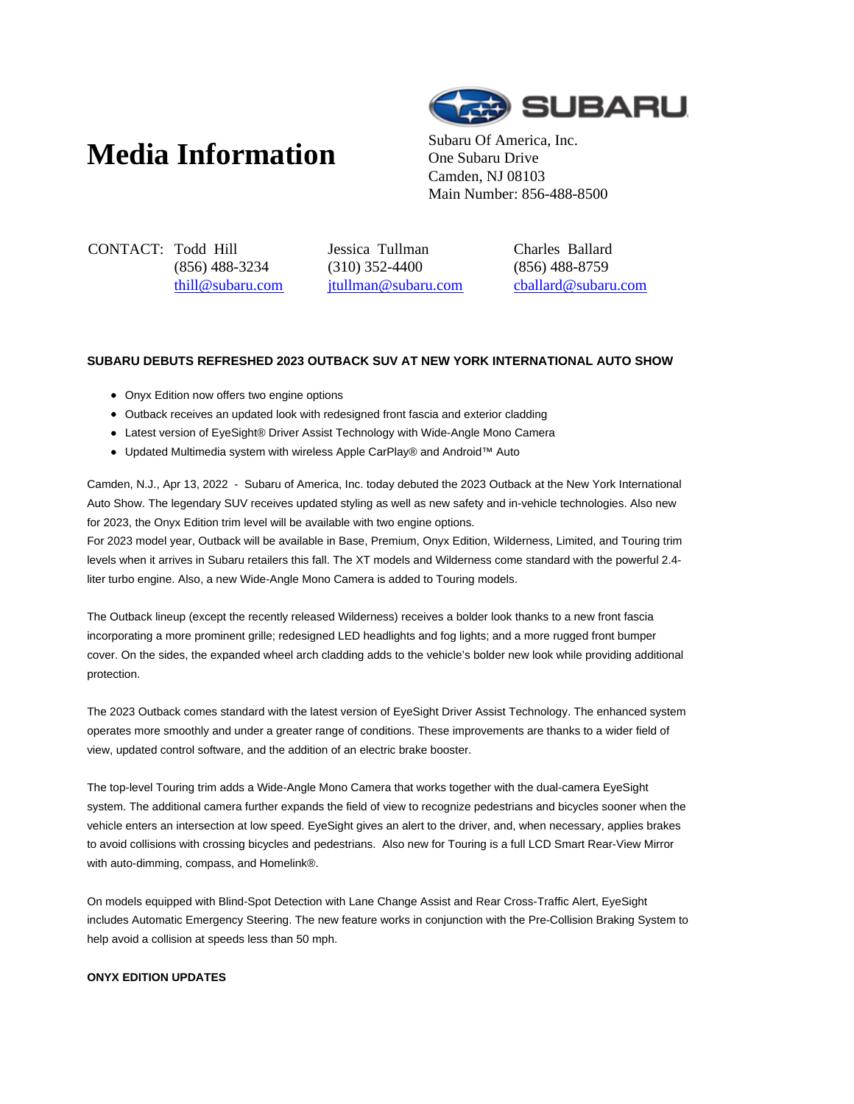# **Media Information** Subaru Of America, Inc.



One Subaru Drive Camden, NJ 08103 Main Number: 856-488-8500

CONTACT: Todd Hill (856) 488-3234 thill@subaru.com Jessica Tullman (310) 352-4400 jtullman@subaru.com Charles Ballard (856) 488-8759 cballard@subaru.com

# **SUBARU DEBUTS REFRESHED 2023 OUTBACK SUV AT NEW YORK INTERNATIONAL AUTO SHOW**

- Onyx Edition now offers two engine options
- Outback receives an updated look with redesigned front fascia and exterior cladding
- Latest version of EyeSight® Driver Assist Technology with Wide-Angle Mono Camera
- Updated Multimedia system with wireless Apple CarPlay® and Android™ Auto

Camden, N.J., Apr 13, 2022 - Subaru of America, Inc. today debuted the 2023 Outback at the New York International Auto Show. The legendary SUV receives updated styling as well as new safety and in-vehicle technologies. Also new for 2023, the Onyx Edition trim level will be available with two engine options.

For 2023 model year, Outback will be available in Base, Premium, Onyx Edition, Wilderness, Limited, and Touring trim levels when it arrives in Subaru retailers this fall. The XT models and Wilderness come standard with the powerful 2.4 liter turbo engine. Also, a new Wide-Angle Mono Camera is added to Touring models.

The Outback lineup (except the recently released Wilderness) receives a bolder look thanks to a new front fascia incorporating a more prominent grille; redesigned LED headlights and fog lights; and a more rugged front bumper cover. On the sides, the expanded wheel arch cladding adds to the vehicle's bolder new look while providing additional protection.

The 2023 Outback comes standard with the latest version of EyeSight Driver Assist Technology. The enhanced system operates more smoothly and under a greater range of conditions. These improvements are thanks to a wider field of view, updated control software, and the addition of an electric brake booster.

The top-level Touring trim adds a Wide-Angle Mono Camera that works together with the dual-camera EyeSight system. The additional camera further expands the field of view to recognize pedestrians and bicycles sooner when the vehicle enters an intersection at low speed. EyeSight gives an alert to the driver, and, when necessary, applies brakes to avoid collisions with crossing bicycles and pedestrians. Also new for Touring is a full LCD Smart Rear-View Mirror with auto-dimming, compass, and Homelink®.

On models equipped with Blind-Spot Detection with Lane Change Assist and Rear Cross-Traffic Alert, EyeSight includes Automatic Emergency Steering. The new feature works in conjunction with the Pre-Collision Braking System to help avoid a collision at speeds less than 50 mph.

# **ONYX EDITION UPDATES**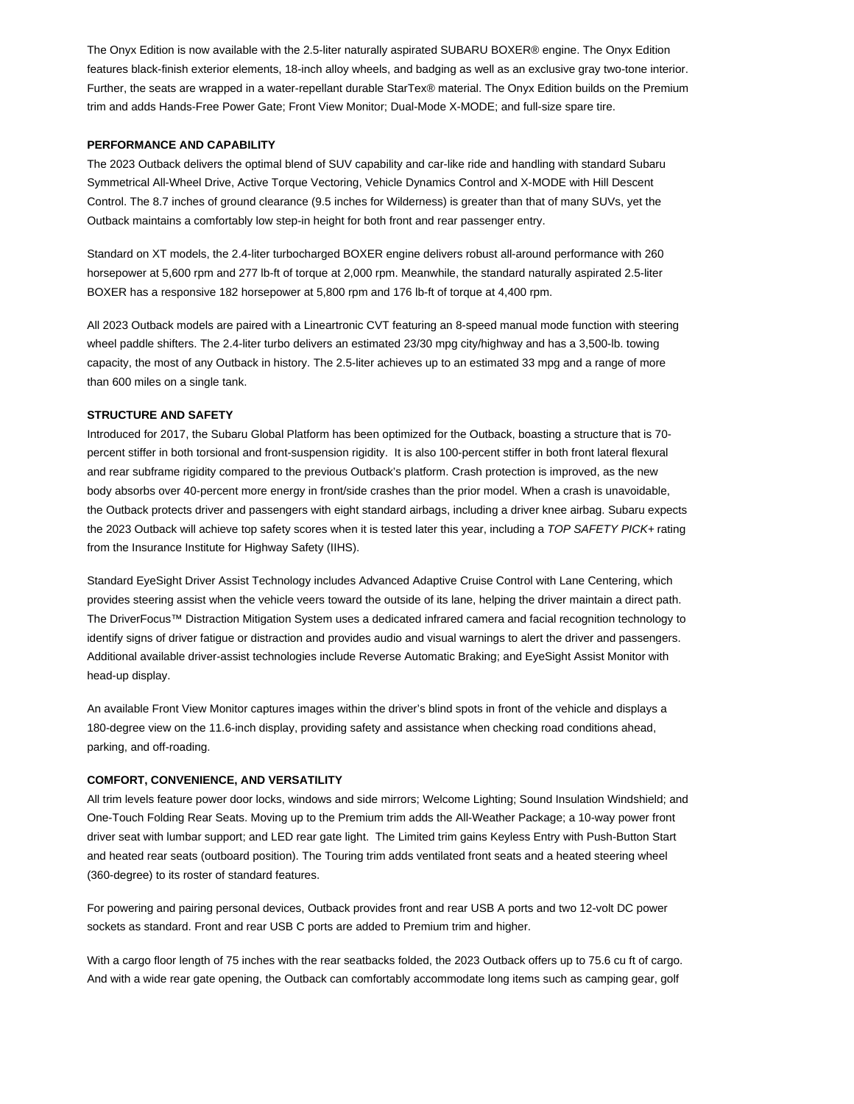The Onyx Edition is now available with the 2.5-liter naturally aspirated SUBARU BOXER® engine. The Onyx Edition features black-finish exterior elements, 18-inch alloy wheels, and badging as well as an exclusive gray two-tone interior. Further, the seats are wrapped in a water-repellant durable StarTex® material. The Onyx Edition builds on the Premium trim and adds Hands-Free Power Gate; Front View Monitor; Dual-Mode X-MODE; and full-size spare tire.

# **PERFORMANCE AND CAPABILITY**

The 2023 Outback delivers the optimal blend of SUV capability and car-like ride and handling with standard Subaru Symmetrical All-Wheel Drive, Active Torque Vectoring, Vehicle Dynamics Control and X-MODE with Hill Descent Control. The 8.7 inches of ground clearance (9.5 inches for Wilderness) is greater than that of many SUVs, yet the Outback maintains a comfortably low step-in height for both front and rear passenger entry.

Standard on XT models, the 2.4-liter turbocharged BOXER engine delivers robust all-around performance with 260 horsepower at 5,600 rpm and 277 lb-ft of torque at 2,000 rpm. Meanwhile, the standard naturally aspirated 2.5-liter BOXER has a responsive 182 horsepower at 5,800 rpm and 176 lb-ft of torque at 4,400 rpm.

All 2023 Outback models are paired with a Lineartronic CVT featuring an 8-speed manual mode function with steering wheel paddle shifters. The 2.4-liter turbo delivers an estimated 23/30 mpg city/highway and has a 3,500-lb. towing capacity, the most of any Outback in history. The 2.5-liter achieves up to an estimated 33 mpg and a range of more than 600 miles on a single tank.

#### **STRUCTURE AND SAFETY**

Introduced for 2017, the Subaru Global Platform has been optimized for the Outback, boasting a structure that is 70 percent stiffer in both torsional and front-suspension rigidity. It is also 100-percent stiffer in both front lateral flexural and rear subframe rigidity compared to the previous Outback's platform. Crash protection is improved, as the new body absorbs over 40-percent more energy in front/side crashes than the prior model. When a crash is unavoidable, the Outback protects driver and passengers with eight standard airbags, including a driver knee airbag. Subaru expects the 2023 Outback will achieve top safety scores when it is tested later this year, including a TOP SAFETY PICK+ rating from the Insurance Institute for Highway Safety (IIHS).

Standard EyeSight Driver Assist Technology includes Advanced Adaptive Cruise Control with Lane Centering, which provides steering assist when the vehicle veers toward the outside of its lane, helping the driver maintain a direct path. The DriverFocus™ Distraction Mitigation System uses a dedicated infrared camera and facial recognition technology to identify signs of driver fatigue or distraction and provides audio and visual warnings to alert the driver and passengers. Additional available driver-assist technologies include Reverse Automatic Braking; and EyeSight Assist Monitor with head-up display.

An available Front View Monitor captures images within the driver's blind spots in front of the vehicle and displays a 180-degree view on the 11.6-inch display, providing safety and assistance when checking road conditions ahead, parking, and off-roading.

# **COMFORT, CONVENIENCE, AND VERSATILITY**

All trim levels feature power door locks, windows and side mirrors; Welcome Lighting; Sound Insulation Windshield; and One-Touch Folding Rear Seats. Moving up to the Premium trim adds the All-Weather Package; a 10-way power front driver seat with lumbar support; and LED rear gate light. The Limited trim gains Keyless Entry with Push-Button Start and heated rear seats (outboard position). The Touring trim adds ventilated front seats and a heated steering wheel (360-degree) to its roster of standard features.

For powering and pairing personal devices, Outback provides front and rear USB A ports and two 12-volt DC power sockets as standard. Front and rear USB C ports are added to Premium trim and higher.

With a cargo floor length of 75 inches with the rear seatbacks folded, the 2023 Outback offers up to 75.6 cu ft of cargo. And with a wide rear gate opening, the Outback can comfortably accommodate long items such as camping gear, golf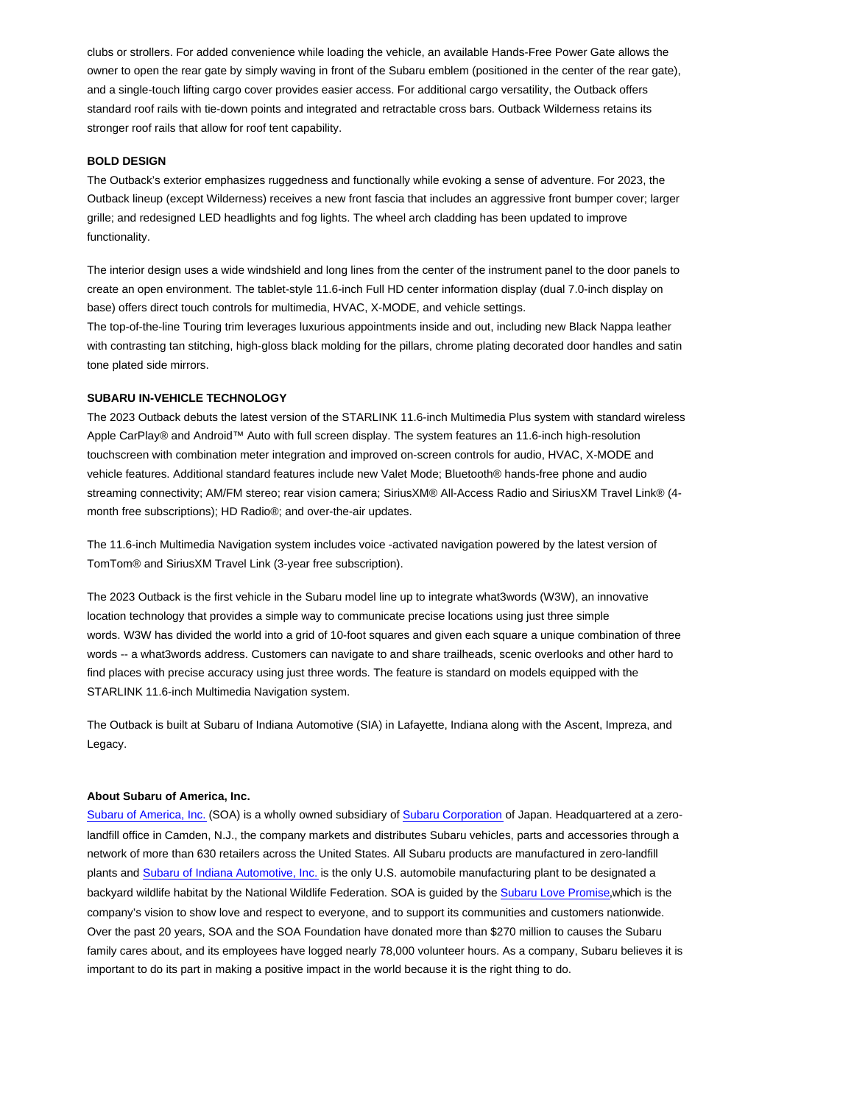clubs or strollers. For added convenience while loading the vehicle, an available Hands-Free Power Gate allows the owner to open the rear gate by simply waving in front of the Subaru emblem (positioned in the center of the rear gate), and a single-touch lifting cargo cover provides easier access. For additional cargo versatility, the Outback offers standard roof rails with tie-down points and integrated and retractable cross bars. Outback Wilderness retains its stronger roof rails that allow for roof tent capability.

# **BOLD DESIGN**

The Outback's exterior emphasizes ruggedness and functionally while evoking a sense of adventure. For 2023, the Outback lineup (except Wilderness) receives a new front fascia that includes an aggressive front bumper cover; larger grille; and redesigned LED headlights and fog lights. The wheel arch cladding has been updated to improve functionality.

The interior design uses a wide windshield and long lines from the center of the instrument panel to the door panels to create an open environment. The tablet-style 11.6-inch Full HD center information display (dual 7.0-inch display on base) offers direct touch controls for multimedia, HVAC, X-MODE, and vehicle settings.

The top-of-the-line Touring trim leverages luxurious appointments inside and out, including new Black Nappa leather with contrasting tan stitching, high-gloss black molding for the pillars, chrome plating decorated door handles and satin tone plated side mirrors.

# **SUBARU IN-VEHICLE TECHNOLOGY**

The 2023 Outback debuts the latest version of the STARLINK 11.6-inch Multimedia Plus system with standard wireless Apple CarPlay® and Android™ Auto with full screen display. The system features an 11.6-inch high-resolution touchscreen with combination meter integration and improved on-screen controls for audio, HVAC, X-MODE and vehicle features. Additional standard features include new Valet Mode; Bluetooth® hands-free phone and audio streaming connectivity; AM/FM stereo; rear vision camera; SiriusXM® All-Access Radio and SiriusXM Travel Link® (4 month free subscriptions); HD Radio®; and over-the-air updates.

The 11.6-inch Multimedia Navigation system includes voice -activated navigation powered by the latest version of TomTom® and SiriusXM Travel Link (3-year free subscription).

The 2023 Outback is the first vehicle in the Subaru model line up to integrate what3words (W3W), an innovative location technology that provides a simple way to communicate precise locations using just three simple words. W3W has divided the world into a grid of 10-foot squares and given each square a unique combination of three words -- a what3words address. Customers can navigate to and share trailheads, scenic overlooks and other hard to find places with precise accuracy using just three words. The feature is standard on models equipped with the STARLINK 11.6-inch Multimedia Navigation system.

The Outback is built at Subaru of Indiana Automotive (SIA) in Lafayette, Indiana along with the Ascent, Impreza, and Legacy.

#### **About Subaru of America, Inc.**

Subaru of America, Inc. (SOA) is a wholly owned subsidiary of Subaru Corporation of Japan. Headquartered at a zerolandfill office in Camden, N.J., the company markets and distributes Subaru vehicles, parts and accessories through a network of more than 630 retailers across the United States. All Subaru products are manufactured in zero-landfill plants and Subaru of Indiana Automotive, Inc. is the only U.S. automobile manufacturing plant to be designated a backyard wildlife habitat by the National Wildlife Federation. SOA is guided by the Subaru Love Promise,which is the company's vision to show love and respect to everyone, and to support its communities and customers nationwide. Over the past 20 years, SOA and the SOA Foundation have donated more than \$270 million to causes the Subaru family cares about, and its employees have logged nearly 78,000 volunteer hours. As a company, Subaru believes it is important to do its part in making a positive impact in the world because it is the right thing to do.